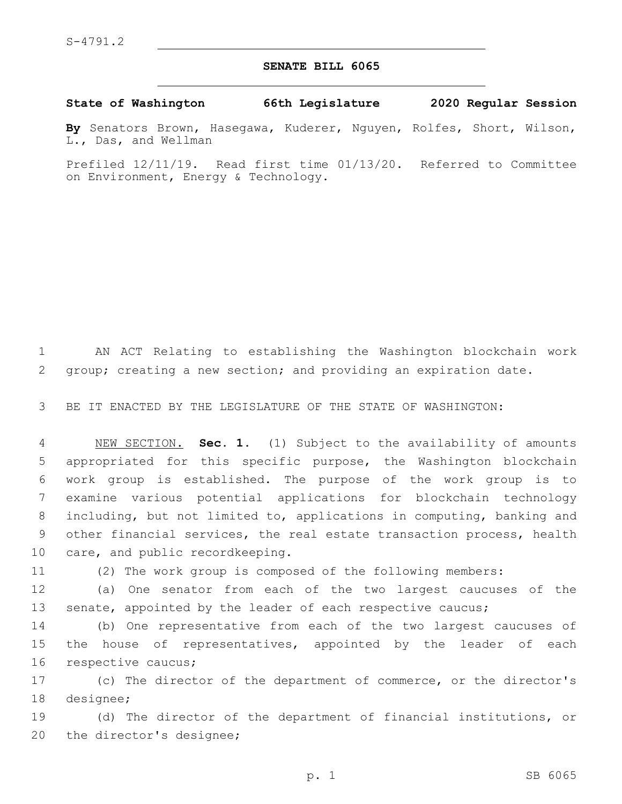## **SENATE BILL 6065**

## **State of Washington 66th Legislature 2020 Regular Session**

**By** Senators Brown, Hasegawa, Kuderer, Nguyen, Rolfes, Short, Wilson, L., Das, and Wellman

Prefiled 12/11/19. Read first time 01/13/20. Referred to Committee on Environment, Energy & Technology.

1 AN ACT Relating to establishing the Washington blockchain work 2 group; creating a new section; and providing an expiration date.

3 BE IT ENACTED BY THE LEGISLATURE OF THE STATE OF WASHINGTON:

 NEW SECTION. **Sec. 1.** (1) Subject to the availability of amounts appropriated for this specific purpose, the Washington blockchain work group is established. The purpose of the work group is to examine various potential applications for blockchain technology including, but not limited to, applications in computing, banking and other financial services, the real estate transaction process, health care, and public recordkeeping.

11 (2) The work group is composed of the following members:

12 (a) One senator from each of the two largest caucuses of the 13 senate, appointed by the leader of each respective caucus;

14 (b) One representative from each of the two largest caucuses of 15 the house of representatives, appointed by the leader of each 16 respective caucus;

17 (c) The director of the department of commerce, or the director's 18 designee;

19 (d) The director of the department of financial institutions, or 20 the director's designee;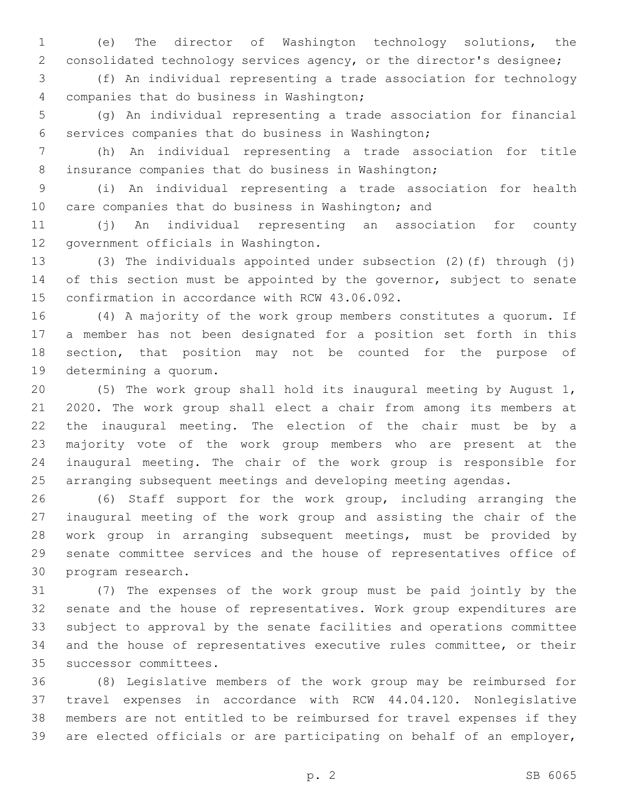(e) The director of Washington technology solutions, the consolidated technology services agency, or the director's designee;

 (f) An individual representing a trade association for technology companies that do business in Washington;4

 (g) An individual representing a trade association for financial 6 services companies that do business in Washington;

 (h) An individual representing a trade association for title insurance companies that do business in Washington;

 (i) An individual representing a trade association for health care companies that do business in Washington; and

 (j) An individual representing an association for county 12 government officials in Washington.

 (3) The individuals appointed under subsection (2)(f) through (j) 14 of this section must be appointed by the governor, subject to senate 15 confirmation in accordance with RCW 43.06.092.

 (4) A majority of the work group members constitutes a quorum. If a member has not been designated for a position set forth in this section, that position may not be counted for the purpose of 19 determining a quorum.

 (5) The work group shall hold its inaugural meeting by August 1, 2020. The work group shall elect a chair from among its members at the inaugural meeting. The election of the chair must be by a majority vote of the work group members who are present at the inaugural meeting. The chair of the work group is responsible for arranging subsequent meetings and developing meeting agendas.

 (6) Staff support for the work group, including arranging the inaugural meeting of the work group and assisting the chair of the work group in arranging subsequent meetings, must be provided by senate committee services and the house of representatives office of 30 program research.

 (7) The expenses of the work group must be paid jointly by the senate and the house of representatives. Work group expenditures are subject to approval by the senate facilities and operations committee and the house of representatives executive rules committee, or their 35 successor committees.

 (8) Legislative members of the work group may be reimbursed for travel expenses in accordance with RCW 44.04.120. Nonlegislative members are not entitled to be reimbursed for travel expenses if they are elected officials or are participating on behalf of an employer,